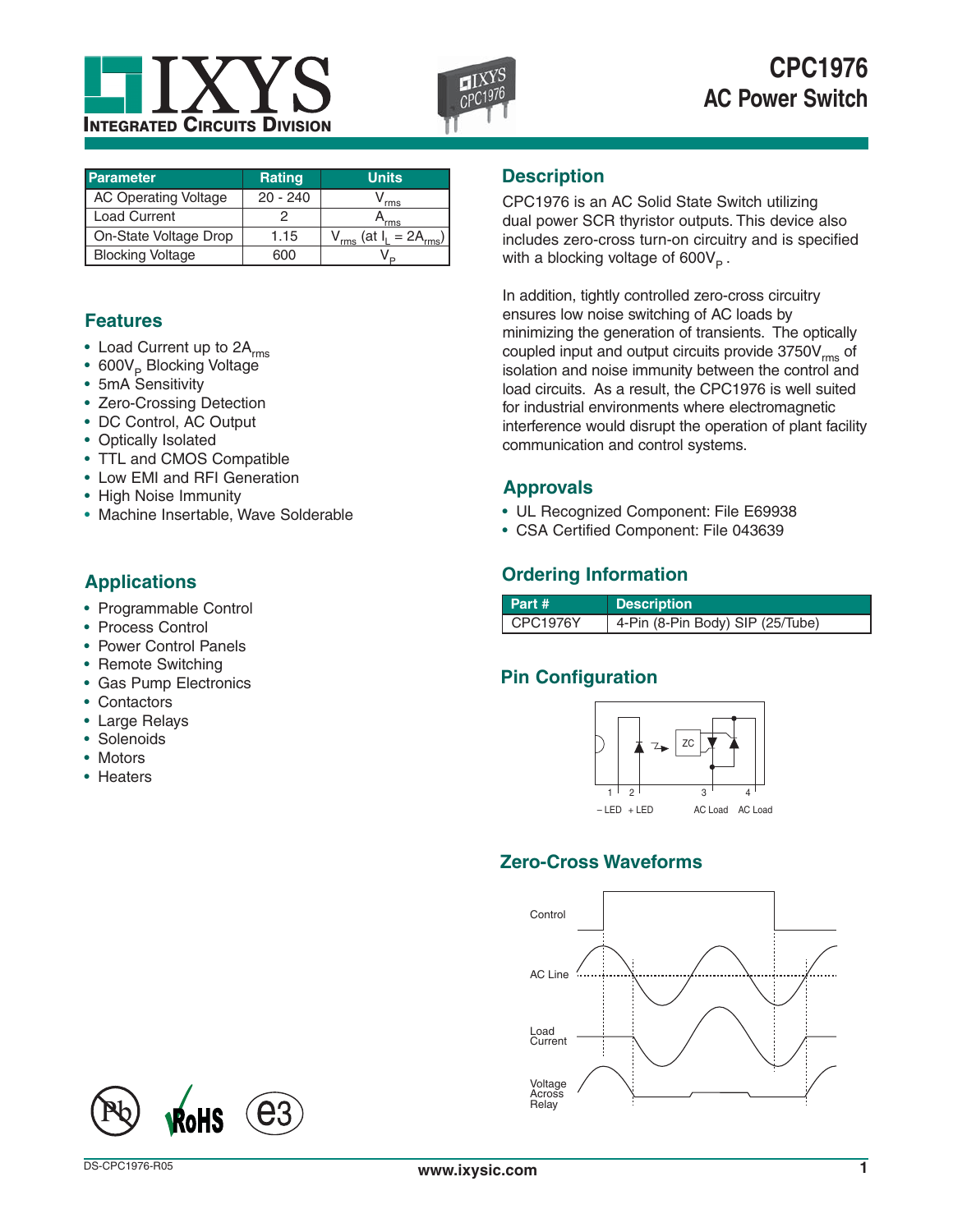



| <b>Parameter</b>            | <b>Rating</b> | <b>Units</b> |
|-----------------------------|---------------|--------------|
| <b>AC Operating Voltage</b> | $20 - 240$    | rms          |
| <b>Load Current</b>         |               | 'rms         |
| On-State Voltage Drop       | 1.15          | 'at<br>rms   |
| <b>Blocking Voltage</b>     | റെറ           |              |

# **Features**

- Load Current up to 2A<sub>rms</sub>
- 600V<sub>P</sub> Blocking Voltage
- 5mA Sensitivity
- Zero-Crossing Detection
- DC Control, AC Output
- Optically Isolated
- TTL and CMOS Compatible
- Low EMI and RFI Generation
- High Noise Immunity
- Machine Insertable, Wave Solderable

# **Applications**

- Programmable Control
- Process Control
- Power Control Panels
- Remote Switching
- Gas Pump Electronics
- Contactors
- Large Relays
- Solenoids
- Motors
- Heaters

## **Description**

CPC1976 is an AC Solid State Switch utilizing dual power SCR thyristor outputs. This device also includes zero-cross turn-on circuitry and is specified with a blocking voltage of  $600V_p$ .

In addition, tightly controlled zero-cross circuitry ensures low noise switching of AC loads by minimizing the generation of transients. The optically coupled input and output circuits provide  $3750V<sub>rms</sub>$  of isolation and noise immunity between the control and load circuits. As a result, the CPC1976 is well suited for industrial environments where electromagnetic interference would disrupt the operation of plant facility communication and control systems.

## **Approvals**

- UL Recognized Component: File E69938
- CSA Certified Component: File 043639

# **Ordering Information**

| Part #    | <b>Description</b>               |
|-----------|----------------------------------|
| ICPC1976Y | 4-Pin (8-Pin Body) SIP (25/Tube) |

# **Pin Configuration**



# **Zero-Cross Waveforms**



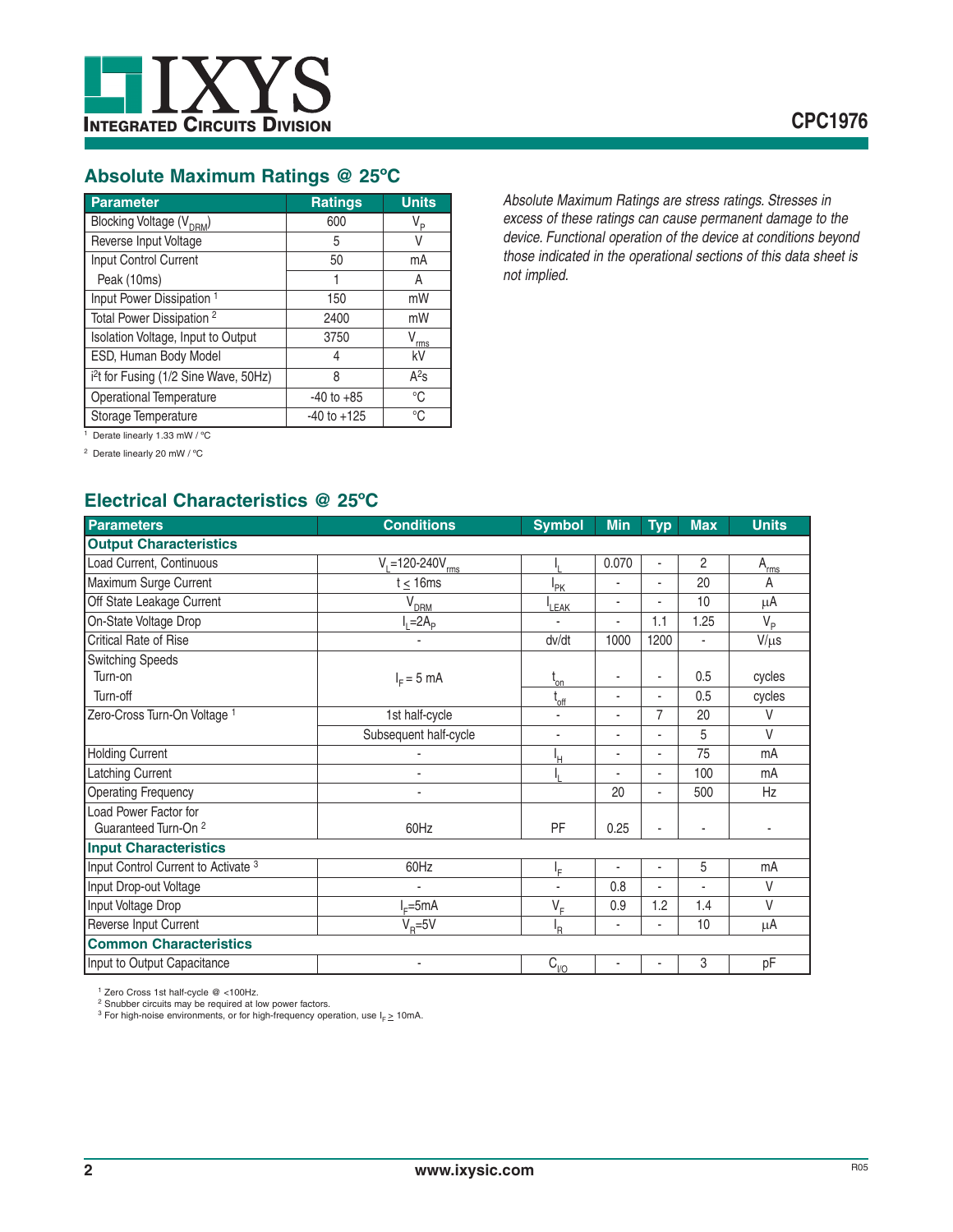

# **Absolute Maximum Ratings @ 25ºC**

| Parameter                                         | <b>Ratings</b>  | <b>Units</b>     |
|---------------------------------------------------|-----------------|------------------|
| Blocking Voltage (V <sub>DRM</sub> )              | 600             | $V_{\mathsf{P}}$ |
| Reverse Input Voltage                             | 5               | V                |
| Input Control Current                             | 50              | mA               |
| Peak (10ms)                                       |                 | A                |
| Input Power Dissipation <sup>1</sup>              | 150             | mW               |
| Total Power Dissipation <sup>2</sup>              | 2400            | mW               |
| Isolation Voltage, Input to Output                | 3750            | V<br>rms         |
| ESD, Human Body Model                             | 4               | kV               |
| i <sup>2</sup> t for Fusing (1/2 Sine Wave, 50Hz) | 8               | $A^2s$           |
| <b>Operational Temperature</b>                    | $-40$ to $+85$  | $^{\circ}C$      |
| Storage Temperature                               | $-40$ to $+125$ | °C               |

*Absolute Maximum Ratings are stress ratings. Stresses in excess of these ratings can cause permanent damage to the device. Functional operation of the device at conditions beyond those indicated in the operational sections of this data sheet is not implied.*

1 Derate linearly 1.33 mW / ºC

2 Derate linearly 20 mW / ºC

# **Electrical Characteristics @ 25ºC**

| <b>Parameters</b>                       | <b>Conditions</b>          | <b>Symbol</b>   | <b>Min</b>     | <b>Typ</b>               | <b>Max</b> | <b>Units</b> |
|-----------------------------------------|----------------------------|-----------------|----------------|--------------------------|------------|--------------|
| <b>Output Characteristics</b>           |                            |                 |                |                          |            |              |
| Load Current, Continuous                | $V_{1} = 120 - 240V_{rms}$ |                 | 0.070          | ٠                        | 2          | $A_{rms}$    |
| Maximum Surge Current                   | $t \leq 16 \text{ms}$      | <sup>I</sup> PK | ٠              | ٠                        | 20         | A            |
| Off State Leakage Current               | $V_{DRM}$                  | LEAK            | ٠              | $\overline{a}$           | 10         | μA           |
| On-State Voltage Drop                   | $-2Ap$                     |                 | ä,             | 1.1                      | 1.25       | $V_{p}$      |
| <b>Critical Rate of Rise</b>            | $\blacksquare$             | dv/dt           | 1000           | 1200                     | ä,         | $V/\mu s$    |
| <b>Switching Speeds</b>                 |                            |                 |                |                          |            |              |
| Turn-on                                 | $IF = 5 mA$                | $t_{on}$        | ٠              | ٠                        | 0.5        | cycles       |
| Turn-off                                |                            | $t_{\rm off}$   | ÷.             | $\overline{a}$           | 0.5        | cycles       |
| Zero-Cross Turn-On Voltage <sup>1</sup> | 1st half-cycle             | ٠               | ٠              | $\overline{7}$           | 20         | $\vee$       |
|                                         | Subsequent half-cycle      | ٠               | ٠              | $\blacksquare$           | 5          | $\vee$       |
| <b>Holding Current</b>                  |                            | ŀн              | ٠              | ٠                        | 75         | mA           |
| <b>Latching Current</b>                 | ä,                         |                 |                | $\blacksquare$           | 100        | mA           |
| <b>Operating Frequency</b>              | ٠                          |                 | 20             | ٠                        | 500        | Hz           |
| Load Power Factor for                   |                            |                 |                |                          |            |              |
| Guaranteed Turn-On <sup>2</sup>         | 60Hz                       | PF              | 0.25           |                          |            |              |
| <b>Input Characteristics</b>            |                            |                 |                |                          |            |              |
| Input Control Current to Activate 3     | 60Hz                       | ΙF              | ä,             |                          | 5          | mA           |
| Input Drop-out Voltage                  | ٠                          | ٠               | 0.8            | $\overline{\phantom{a}}$ |            | V            |
| Input Voltage Drop                      | $E = 5mA$                  | $V_F$           | 0.9            | 1.2                      | 1.4        | V            |
| Reverse Input Current                   | $V_{\rm p} = 5V$           | ΙŖ              | $\overline{a}$ | ä,                       | 10         | μA           |
| <b>Common Characteristics</b>           |                            |                 |                |                          |            |              |
| Input to Output Capacitance             | ٠                          | $C_{1/2}$       |                |                          | 3          | pF           |

<sup>1</sup> Zero Cross 1st half-cycle @ <100Hz.<br><sup>2</sup> Snubber circuits may be required at low power factors.<br><sup>3</sup> For high-noise environments, or for high-frequency operation, use I<sub>F ≥</sub> 10mA.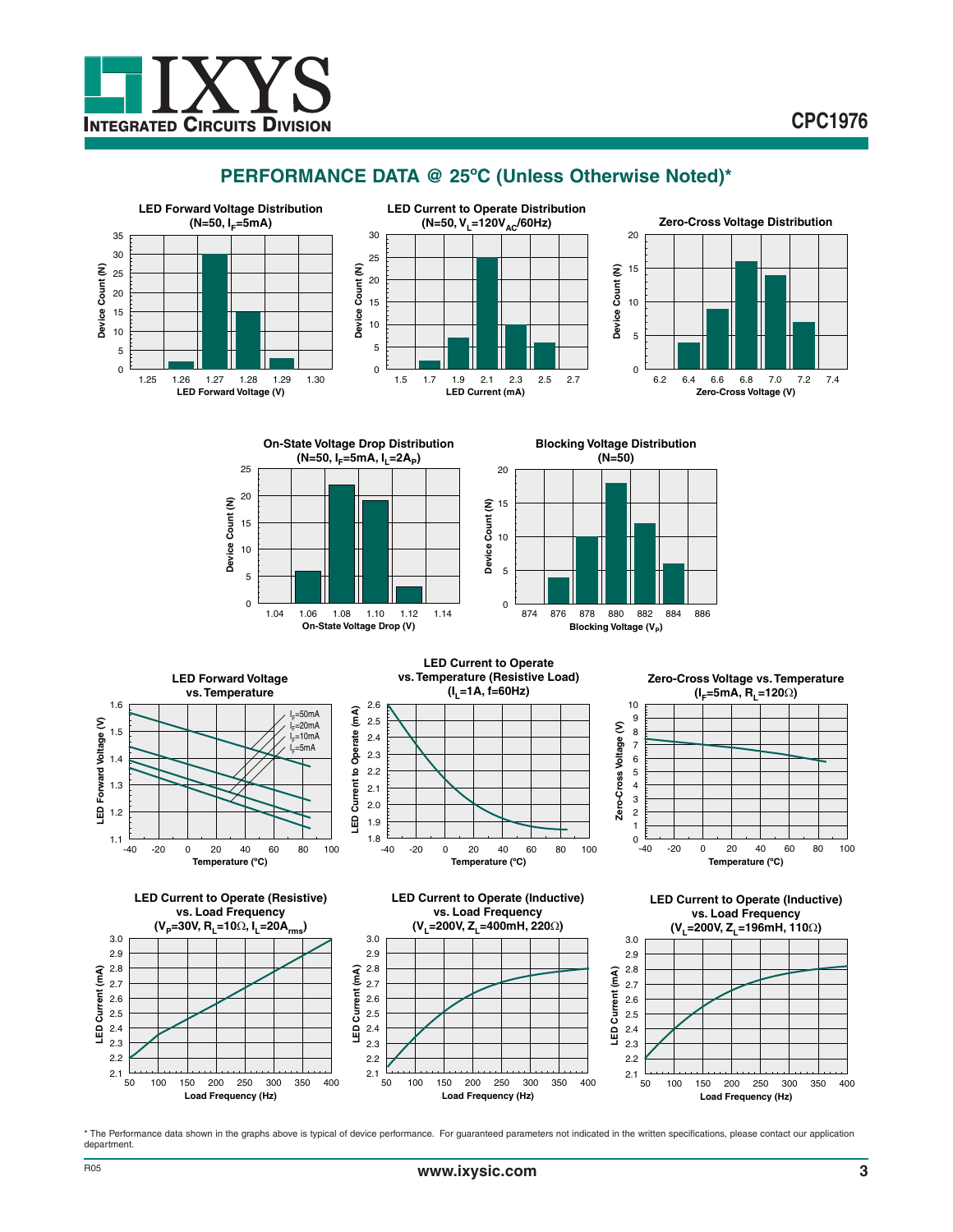

# **PERFORMANCE DATA @ 25ºC (Unless Otherwise Noted)\***



\* The Performance data shown in the graphs above is typical of device performance. For guaranteed parameters not indicated in the written specifications, please contact our application department.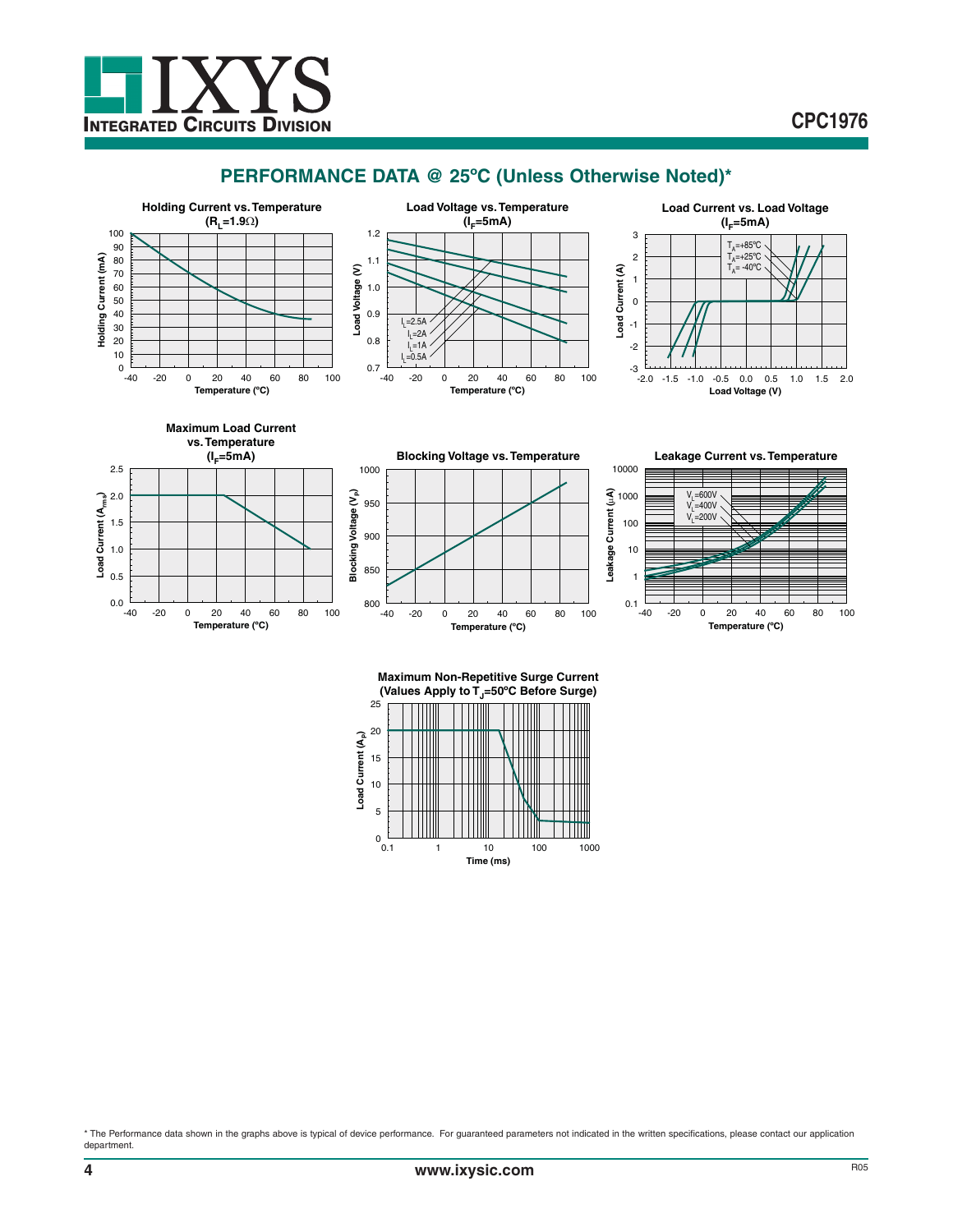

# **CPC1976**

# **PERFORMANCE DATA @ 25ºC (Unless Otherwise Noted)\***















**Maximum Non-Repetitive Surge Current** (Values Apply to T<sub>J</sub>=50°C Before Surge)



\* The Performance data shown in the graphs above is typical of device performance. For guaranteed parameters not indicated in the written specifications, please contact our application department.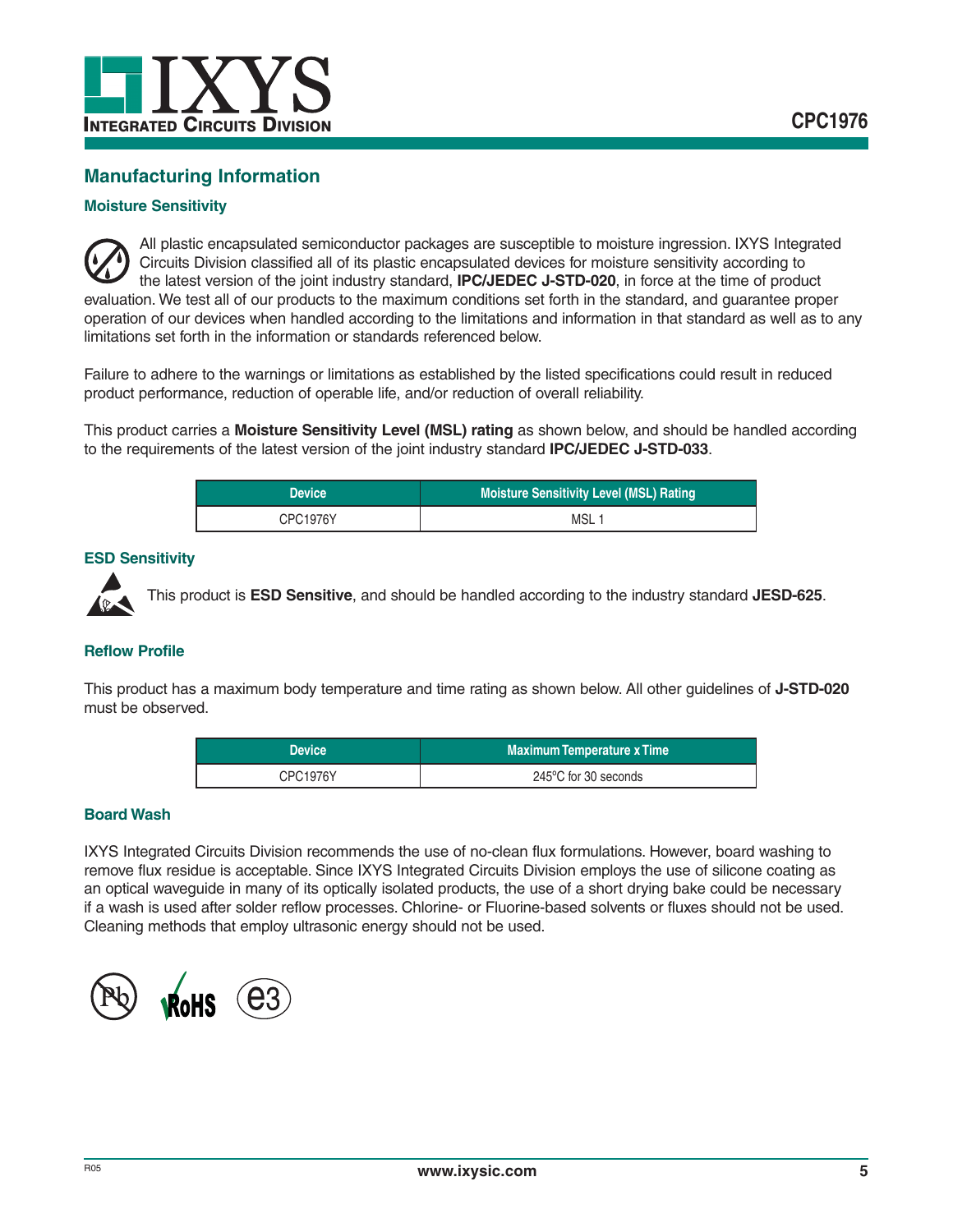

# **Manufacturing Information**

## **Moisture Sensitivity**

All plastic encapsulated semiconductor packages are susceptible to moisture ingression. IXYS Integrated Circuits Division classified all of its plastic encapsulated devices for moisture sensitivity according to the latest version of the joint industry standard, **IPC/JEDEC J-STD-020**, in force at the time of product evaluation. We test all of our products to the maximum conditions set forth in the standard, and guarantee proper operation of our devices when handled according to the limitations and information in that standard as well as to any limitations set forth in the information or standards referenced below.

Failure to adhere to the warnings or limitations as established by the listed specifications could result in reduced product performance, reduction of operable life, and/or reduction of overall reliability.

This product carries a **Moisture Sensitivity Level (MSL) rating** as shown below, and should be handled according to the requirements of the latest version of the joint industry standard **IPC/JEDEC J-STD-033**.

| <b>Device</b> | <b>Moisture Sensitivity Level (MSL) Rating</b> |
|---------------|------------------------------------------------|
| CPC1976Y      | MSL                                            |

#### **ESD Sensitivity**



This product is **ESD Sensitive**, and should be handled according to the industry standard **JESD-625**.

## **Reflow Profile**

This product has a maximum body temperature and time rating as shown below. All other guidelines of **J-STD-020** must be observed.

| <b>Device</b>   | <b>Maximum Temperature x Time</b> |
|-----------------|-----------------------------------|
| <b>CPC1976Y</b> | 245°C for 30 seconds              |

### **Board Wash**

IXYS Integrated Circuits Division recommends the use of no-clean flux formulations. However, board washing to remove flux residue is acceptable. Since IXYS Integrated Circuits Division employs the use of silicone coating as an optical waveguide in many of its optically isolated products, the use of a short drying bake could be necessary if a wash is used after solder reflow processes. Chlorine- or Fluorine-based solvents or fluxes should not be used. Cleaning methods that employ ultrasonic energy should not be used.